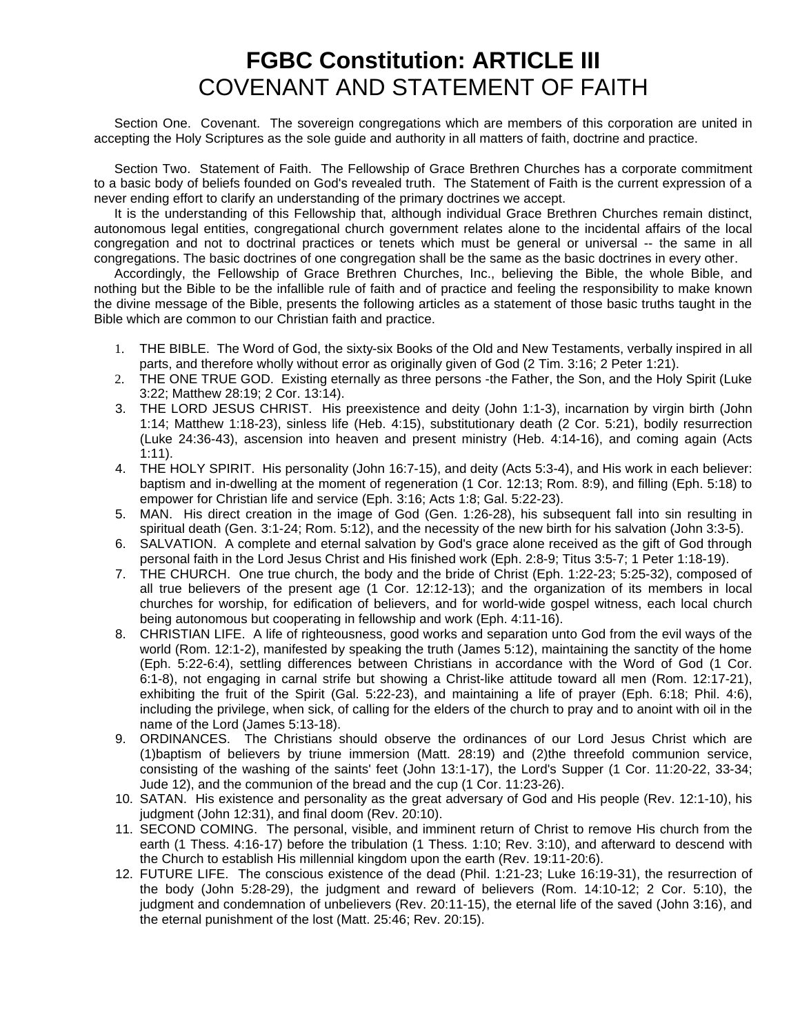## **FGBC Constitution: ARTICLE III** COVENANT AND STATEMENT OF FAITH

Section One. Covenant. The sovereign congregations which are members of this corporation are united in accepting the Holy Scriptures as the sole guide and authority in all matters of faith, doctrine and practice.

Section Two. Statement of Faith. The Fellowship of Grace Brethren Churches has a corporate commitment to a basic body of beliefs founded on God's revealed truth. The Statement of Faith is the current expression of a never ending effort to clarify an understanding of the primary doctrines we accept.

It is the understanding of this Fellowship that, although individual Grace Brethren Churches remain distinct, autonomous legal entities, congregational church government relates alone to the incidental affairs of the local congregation and not to doctrinal practices or tenets which must be general or universal -- the same in all congregations. The basic doctrines of one congregation shall be the same as the basic doctrines in every other.

Accordingly, the Fellowship of Grace Brethren Churches, Inc., believing the Bible, the whole Bible, and nothing but the Bible to be the infallible rule of faith and of practice and feeling the responsibility to make known the divine message of the Bible, presents the following articles as a statement of those basic truths taught in the Bible which are common to our Christian faith and practice.

- 1. THE BIBLE. The Word of God, the sixty-six Books of the Old and New Testaments, verbally inspired in all parts, and therefore wholly without error as originally given of God (2 Tim. 3:16; 2 Peter 1:21).
- 2. THE ONE TRUE GOD. Existing eternally as three persons -the Father, the Son, and the Holy Spirit (Luke 3:22; Matthew 28:19; 2 Cor. 13:14).
- 3. THE LORD JESUS CHRIST. His preexistence and deity (John 1:1-3), incarnation by virgin birth (John 1:14; Matthew 1:18-23), sinless life (Heb. 4:15), substitutionary death (2 Cor. 5:21), bodily resurrection (Luke 24:36-43), ascension into heaven and present ministry (Heb. 4:14-16), and coming again (Acts 1:11).
- 4. THE HOLY SPIRIT. His personality (John 16:7-15), and deity (Acts 5:3-4), and His work in each believer: baptism and in-dwelling at the moment of regeneration (1 Cor. 12:13; Rom. 8:9), and filling (Eph. 5:18) to empower for Christian life and service (Eph. 3:16; Acts 1:8; Gal. 5:22-23).
- 5. MAN. His direct creation in the image of God (Gen. 1:26-28), his subsequent fall into sin resulting in spiritual death (Gen. 3:1-24; Rom. 5:12), and the necessity of the new birth for his salvation (John 3:3-5).
- 6. SALVATION. A complete and eternal salvation by God's grace alone received as the gift of God through personal faith in the Lord Jesus Christ and His finished work (Eph. 2:8-9; Titus 3:5-7; 1 Peter 1:18-19).
- 7. THE CHURCH. One true church, the body and the bride of Christ (Eph. 1:22-23; 5:25-32), composed of all true believers of the present age (1 Cor. 12:12-13); and the organization of its members in local churches for worship, for edification of believers, and for world-wide gospel witness, each local church being autonomous but cooperating in fellowship and work (Eph. 4:11-16).
- 8. CHRISTIAN LIFE. A life of righteousness, good works and separation unto God from the evil ways of the world (Rom. 12:1-2), manifested by speaking the truth (James 5:12), maintaining the sanctity of the home (Eph. 5:22-6:4), settling differences between Christians in accordance with the Word of God (1 Cor. 6:1-8), not engaging in carnal strife but showing a Christ-like attitude toward all men (Rom. 12:17-21), exhibiting the fruit of the Spirit (Gal. 5:22-23), and maintaining a life of prayer (Eph. 6:18; Phil. 4:6), including the privilege, when sick, of calling for the elders of the church to pray and to anoint with oil in the name of the Lord (James 5:13-18).
- 9. ORDINANCES. The Christians should observe the ordinances of our Lord Jesus Christ which are (1)baptism of believers by triune immersion (Matt. 28:19) and (2)the threefold communion service, consisting of the washing of the saints' feet (John 13:1-17), the Lord's Supper (1 Cor. 11:20-22, 33-34; Jude 12), and the communion of the bread and the cup (1 Cor. 11:23-26).
- 10. SATAN. His existence and personality as the great adversary of God and His people (Rev. 12:1-10), his judgment (John 12:31), and final doom (Rev. 20:10).
- 11. SECOND COMING. The personal, visible, and imminent return of Christ to remove His church from the earth (1 Thess. 4:16-17) before the tribulation (1 Thess. 1:10; Rev. 3:10), and afterward to descend with the Church to establish His millennial kingdom upon the earth (Rev. 19:11-20:6).
- 12. FUTURE LIFE. The conscious existence of the dead (Phil. 1:21-23; Luke 16:19-31), the resurrection of the body (John 5:28-29), the judgment and reward of believers (Rom. 14:10-12; 2 Cor. 5:10), the judgment and condemnation of unbelievers (Rev. 20:11-15), the eternal life of the saved (John 3:16), and the eternal punishment of the lost (Matt. 25:46; Rev. 20:15).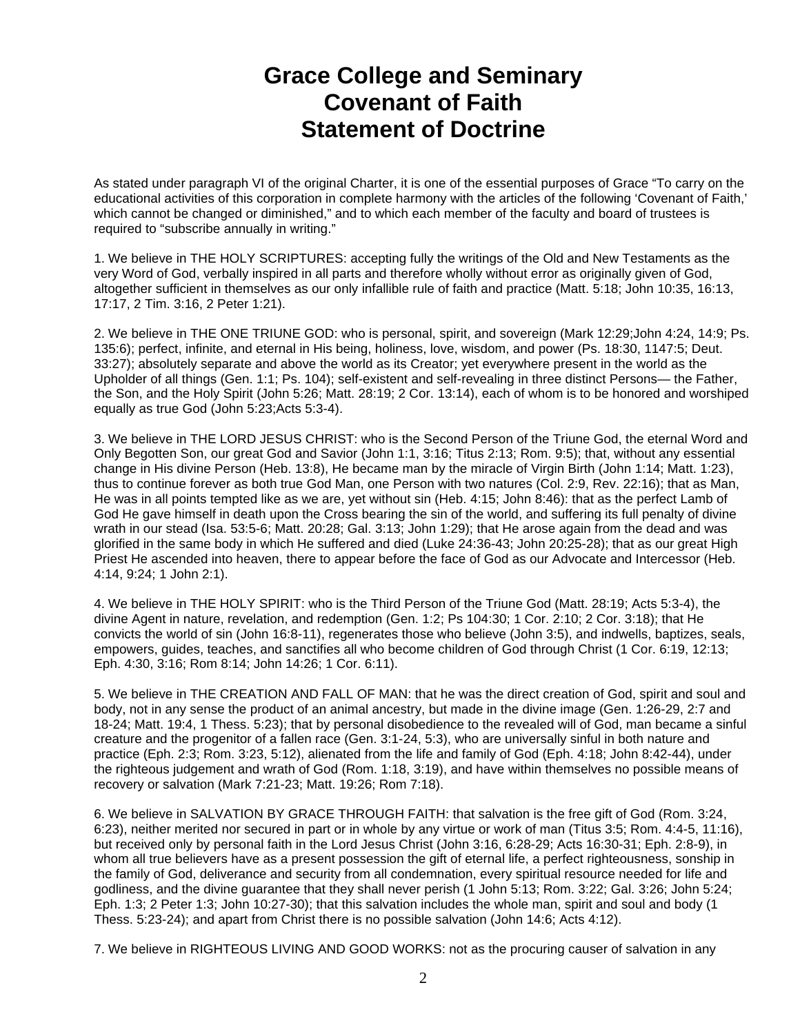## **Grace College and Seminary Covenant of Faith Statement of Doctrine**

As stated under paragraph VI of the original Charter, it is one of the essential purposes of Grace "To carry on the educational activities of this corporation in complete harmony with the articles of the following 'Covenant of Faith,' which cannot be changed or diminished," and to which each member of the faculty and board of trustees is required to "subscribe annually in writing."

1. We believe in THE HOLY SCRIPTURES: accepting fully the writings of the Old and New Testaments as the very Word of God, verbally inspired in all parts and therefore wholly without error as originally given of God, altogether sufficient in themselves as our only infallible rule of faith and practice (Matt. 5:18; John 10:35, 16:13, 17:17, 2 Tim. 3:16, 2 Peter 1:21).

2. We believe in THE ONE TRIUNE GOD: who is personal, spirit, and sovereign (Mark 12:29;John 4:24, 14:9; Ps. 135:6); perfect, infinite, and eternal in His being, holiness, love, wisdom, and power (Ps. 18:30, 1147:5; Deut. 33:27); absolutely separate and above the world as its Creator; yet everywhere present in the world as the Upholder of all things (Gen. 1:1; Ps. 104); self-existent and self-revealing in three distinct Persons— the Father, the Son, and the Holy Spirit (John 5:26; Matt. 28:19; 2 Cor. 13:14), each of whom is to be honored and worshiped equally as true God (John 5:23;Acts 5:3-4).

3. We believe in THE LORD JESUS CHRIST: who is the Second Person of the Triune God, the eternal Word and Only Begotten Son, our great God and Savior (John 1:1, 3:16; Titus 2:13; Rom. 9:5); that, without any essential change in His divine Person (Heb. 13:8), He became man by the miracle of Virgin Birth (John 1:14; Matt. 1:23), thus to continue forever as both true God Man, one Person with two natures (Col. 2:9, Rev. 22:16); that as Man, He was in all points tempted like as we are, yet without sin (Heb. 4:15; John 8:46): that as the perfect Lamb of God He gave himself in death upon the Cross bearing the sin of the world, and suffering its full penalty of divine wrath in our stead (Isa. 53:5-6; Matt. 20:28; Gal. 3:13; John 1:29); that He arose again from the dead and was glorified in the same body in which He suffered and died (Luke 24:36-43; John 20:25-28); that as our great High Priest He ascended into heaven, there to appear before the face of God as our Advocate and Intercessor (Heb. 4:14, 9:24; 1 John 2:1).

4. We believe in THE HOLY SPIRIT: who is the Third Person of the Triune God (Matt. 28:19; Acts 5:3-4), the divine Agent in nature, revelation, and redemption (Gen. 1:2; Ps 104:30; 1 Cor. 2:10; 2 Cor. 3:18); that He convicts the world of sin (John 16:8-11), regenerates those who believe (John 3:5), and indwells, baptizes, seals, empowers, guides, teaches, and sanctifies all who become children of God through Christ (1 Cor. 6:19, 12:13; Eph. 4:30, 3:16; Rom 8:14; John 14:26; 1 Cor. 6:11).

5. We believe in THE CREATION AND FALL OF MAN: that he was the direct creation of God, spirit and soul and body, not in any sense the product of an animal ancestry, but made in the divine image (Gen. 1:26-29, 2:7 and 18-24; Matt. 19:4, 1 Thess. 5:23); that by personal disobedience to the revealed will of God, man became a sinful creature and the progenitor of a fallen race (Gen. 3:1-24, 5:3), who are universally sinful in both nature and practice (Eph. 2:3; Rom. 3:23, 5:12), alienated from the life and family of God (Eph. 4:18; John 8:42-44), under the righteous judgement and wrath of God (Rom. 1:18, 3:19), and have within themselves no possible means of recovery or salvation (Mark 7:21-23; Matt. 19:26; Rom 7:18).

6. We believe in SALVATION BY GRACE THROUGH FAITH: that salvation is the free gift of God (Rom. 3:24, 6:23), neither merited nor secured in part or in whole by any virtue or work of man (Titus 3:5; Rom. 4:4-5, 11:16), but received only by personal faith in the Lord Jesus Christ (John 3:16, 6:28-29; Acts 16:30-31; Eph. 2:8-9), in whom all true believers have as a present possession the gift of eternal life, a perfect righteousness, sonship in the family of God, deliverance and security from all condemnation, every spiritual resource needed for life and godliness, and the divine guarantee that they shall never perish (1 John 5:13; Rom. 3:22; Gal. 3:26; John 5:24; Eph. 1:3; 2 Peter 1:3; John 10:27-30); that this salvation includes the whole man, spirit and soul and body (1 Thess. 5:23-24); and apart from Christ there is no possible salvation (John 14:6; Acts 4:12).

7. We believe in RIGHTEOUS LIVING AND GOOD WORKS: not as the procuring causer of salvation in any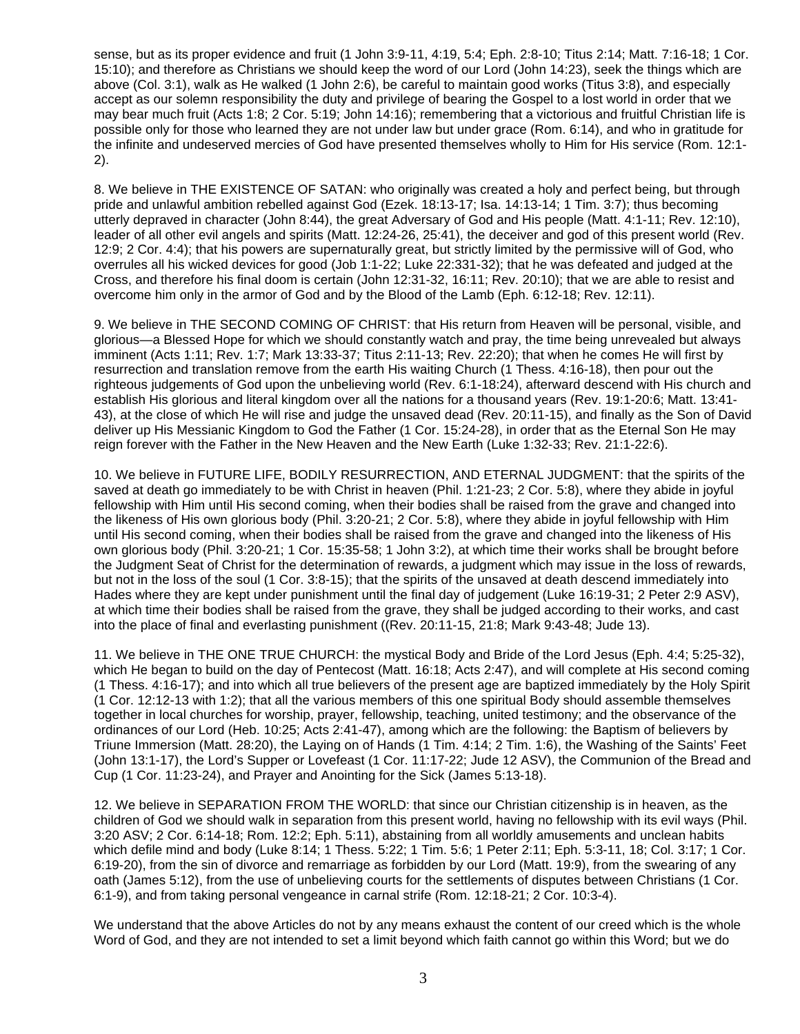sense, but as its proper evidence and fruit (1 John 3:9-11, 4:19, 5:4; Eph. 2:8-10; Titus 2:14; Matt. 7:16-18; 1 Cor. 15:10); and therefore as Christians we should keep the word of our Lord (John 14:23), seek the things which are above (Col. 3:1), walk as He walked (1 John 2:6), be careful to maintain good works (Titus 3:8), and especially accept as our solemn responsibility the duty and privilege of bearing the Gospel to a lost world in order that we may bear much fruit (Acts 1:8; 2 Cor. 5:19; John 14:16); remembering that a victorious and fruitful Christian life is possible only for those who learned they are not under law but under grace (Rom. 6:14), and who in gratitude for the infinite and undeserved mercies of God have presented themselves wholly to Him for His service (Rom. 12:1- 2).

8. We believe in THE EXISTENCE OF SATAN: who originally was created a holy and perfect being, but through pride and unlawful ambition rebelled against God (Ezek. 18:13-17; Isa. 14:13-14; 1 Tim. 3:7); thus becoming utterly depraved in character (John 8:44), the great Adversary of God and His people (Matt. 4:1-11; Rev. 12:10), leader of all other evil angels and spirits (Matt. 12:24-26, 25:41), the deceiver and god of this present world (Rev. 12:9; 2 Cor. 4:4); that his powers are supernaturally great, but strictly limited by the permissive will of God, who overrules all his wicked devices for good (Job 1:1-22; Luke 22:331-32); that he was defeated and judged at the Cross, and therefore his final doom is certain (John 12:31-32, 16:11; Rev. 20:10); that we are able to resist and overcome him only in the armor of God and by the Blood of the Lamb (Eph. 6:12-18; Rev. 12:11).

9. We believe in THE SECOND COMING OF CHRIST: that His return from Heaven will be personal, visible, and glorious—a Blessed Hope for which we should constantly watch and pray, the time being unrevealed but always imminent (Acts 1:11; Rev. 1:7; Mark 13:33-37; Titus 2:11-13; Rev. 22:20); that when he comes He will first by resurrection and translation remove from the earth His waiting Church (1 Thess. 4:16-18), then pour out the righteous judgements of God upon the unbelieving world (Rev. 6:1-18:24), afterward descend with His church and establish His glorious and literal kingdom over all the nations for a thousand years (Rev. 19:1-20:6; Matt. 13:41- 43), at the close of which He will rise and judge the unsaved dead (Rev. 20:11-15), and finally as the Son of David deliver up His Messianic Kingdom to God the Father (1 Cor. 15:24-28), in order that as the Eternal Son He may reign forever with the Father in the New Heaven and the New Earth (Luke 1:32-33; Rev. 21:1-22:6).

10. We believe in FUTURE LIFE, BODILY RESURRECTION, AND ETERNAL JUDGMENT: that the spirits of the saved at death go immediately to be with Christ in heaven (Phil. 1:21-23; 2 Cor. 5:8), where they abide in joyful fellowship with Him until His second coming, when their bodies shall be raised from the grave and changed into the likeness of His own glorious body (Phil. 3:20-21; 2 Cor. 5:8), where they abide in joyful fellowship with Him until His second coming, when their bodies shall be raised from the grave and changed into the likeness of His own glorious body (Phil. 3:20-21; 1 Cor. 15:35-58; 1 John 3:2), at which time their works shall be brought before the Judgment Seat of Christ for the determination of rewards, a judgment which may issue in the loss of rewards, but not in the loss of the soul (1 Cor. 3:8-15); that the spirits of the unsaved at death descend immediately into Hades where they are kept under punishment until the final day of judgement (Luke 16:19-31; 2 Peter 2:9 ASV), at which time their bodies shall be raised from the grave, they shall be judged according to their works, and cast into the place of final and everlasting punishment ((Rev. 20:11-15, 21:8; Mark 9:43-48; Jude 13).

11. We believe in THE ONE TRUE CHURCH: the mystical Body and Bride of the Lord Jesus (Eph. 4:4; 5:25-32), which He began to build on the day of Pentecost (Matt. 16:18; Acts 2:47), and will complete at His second coming (1 Thess. 4:16-17); and into which all true believers of the present age are baptized immediately by the Holy Spirit (1 Cor. 12:12-13 with 1:2); that all the various members of this one spiritual Body should assemble themselves together in local churches for worship, prayer, fellowship, teaching, united testimony; and the observance of the ordinances of our Lord (Heb. 10:25; Acts 2:41-47), among which are the following: the Baptism of believers by Triune Immersion (Matt. 28:20), the Laying on of Hands (1 Tim. 4:14; 2 Tim. 1:6), the Washing of the Saints' Feet (John 13:1-17), the Lord's Supper or Lovefeast (1 Cor. 11:17-22; Jude 12 ASV), the Communion of the Bread and Cup (1 Cor. 11:23-24), and Prayer and Anointing for the Sick (James 5:13-18).

12. We believe in SEPARATION FROM THE WORLD: that since our Christian citizenship is in heaven, as the children of God we should walk in separation from this present world, having no fellowship with its evil ways (Phil. 3:20 ASV; 2 Cor. 6:14-18; Rom. 12:2; Eph. 5:11), abstaining from all worldly amusements and unclean habits which defile mind and body (Luke 8:14; 1 Thess. 5:22; 1 Tim. 5:6; 1 Peter 2:11; Eph. 5:3-11, 18; Col. 3:17; 1 Cor. 6:19-20), from the sin of divorce and remarriage as forbidden by our Lord (Matt. 19:9), from the swearing of any oath (James 5:12), from the use of unbelieving courts for the settlements of disputes between Christians (1 Cor. 6:1-9), and from taking personal vengeance in carnal strife (Rom. 12:18-21; 2 Cor. 10:3-4).

We understand that the above Articles do not by any means exhaust the content of our creed which is the whole Word of God, and they are not intended to set a limit beyond which faith cannot go within this Word; but we do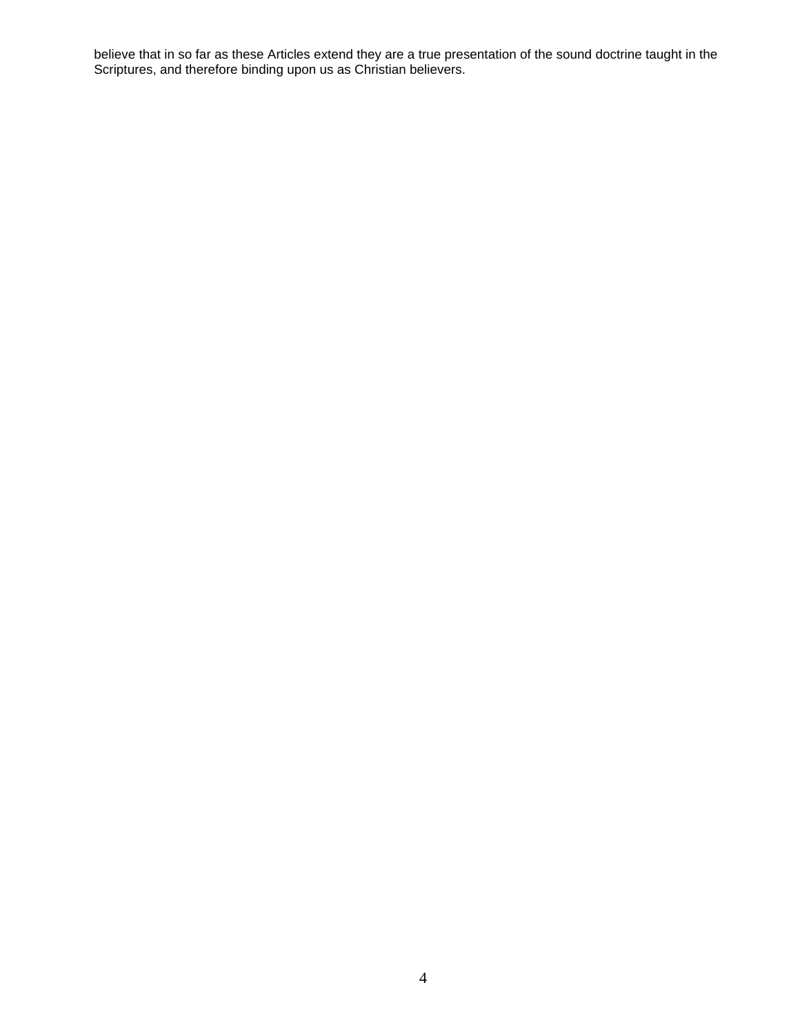believe that in so far as these Articles extend they are a true presentation of the sound doctrine taught in the Scriptures, and therefore binding upon us as Christian believers.